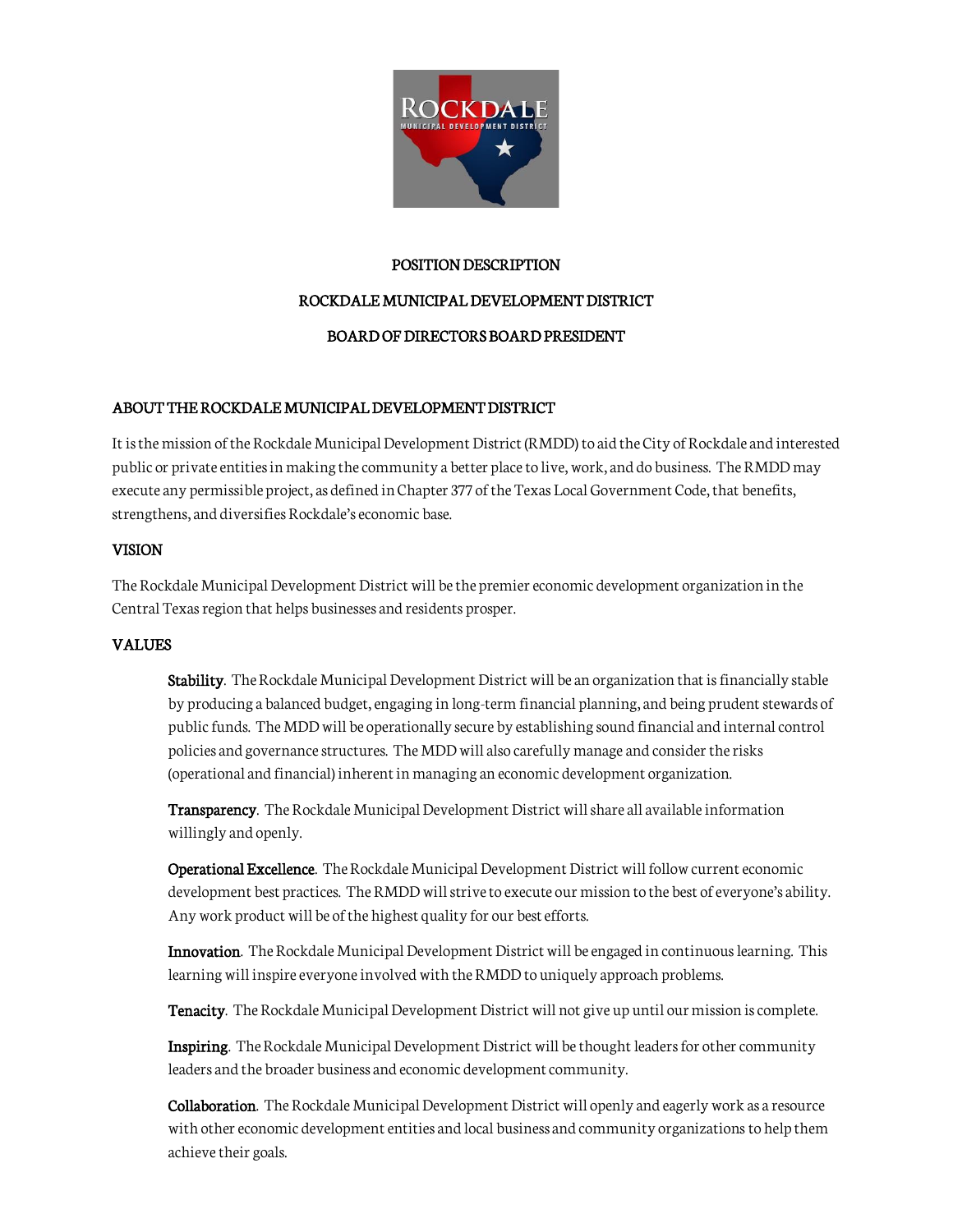

# POSITION DESCRIPTION

# ROCKDALE MUNICIPAL DEVELOPMENT DISTRICT

# BOARD OF DIRECTORS BOARD PRESIDENT

# ABOUT THE ROCKDALE MUNICIPAL DEVELOPMENT DISTRICT

It is the mission of the Rockdale Municipal Development District (RMDD) to aid the City of Rockdale and interested public or private entities in making the community a better place to live, work, and do business. The RMDD may execute any permissible project, as defined in Chapter 377 of the Texas Local Government Code, that benefits, strengthens, and diversifies Rockdale's economic base.

# VISION

The Rockdale Municipal Development District will be the premier economic development organization in the Central Texas region that helps businesses and residents prosper.

# VALUES

Stability. The Rockdale Municipal Development District will be an organization that is financially stable by producing a balanced budget, engaging in long-term financial planning, and being prudent stewards of public funds. The MDD will be operationally secure by establishing sound financial and internal control policies and governance structures. The MDD will also carefully manage and consider the risks (operational and financial) inherent in managing an economic development organization.

Transparency. The Rockdale Municipal Development District will share all available information willingly and openly.

Operational Excellence. The Rockdale Municipal Development District will follow current economic development best practices. The RMDD will strive to execute our mission to the best of everyone's ability. Any work product will be of the highest quality for our best efforts.

Innovation. The Rockdale Municipal Development District will be engaged in continuous learning. This learning will inspire everyone involved with the RMDD to uniquely approach problems.

Tenacity. The Rockdale Municipal Development District will not give up until our mission is complete.

Inspiring. The Rockdale Municipal Development District will be thought leaders for other community leaders and the broader business and economic development community.

Collaboration. The Rockdale Municipal Development District will openly and eagerly work as a resource with other economic development entities and local business and community organizations to help them achieve their goals.